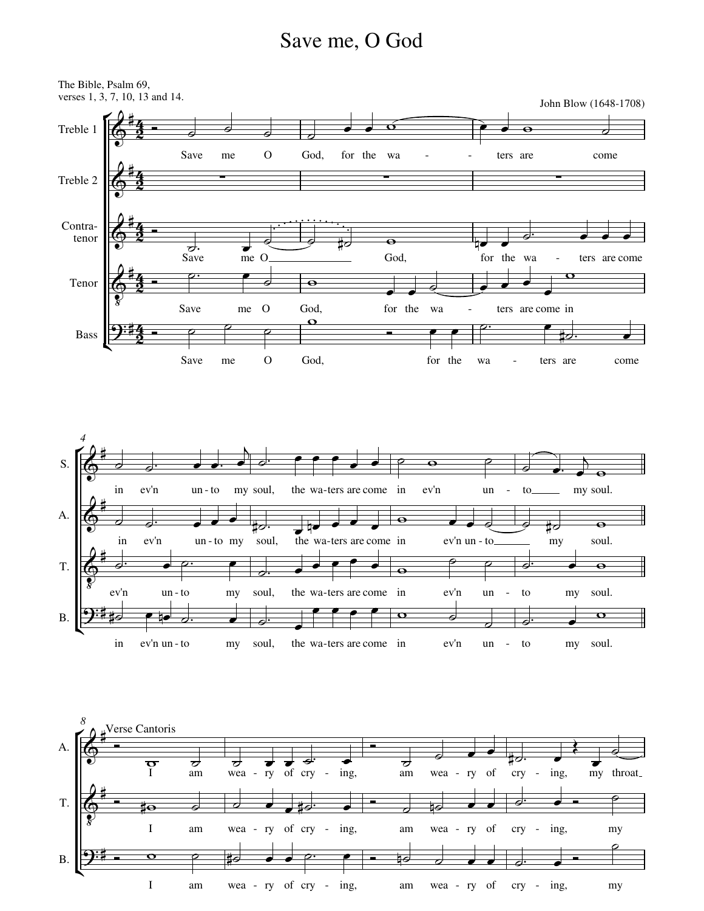## Save me, O God



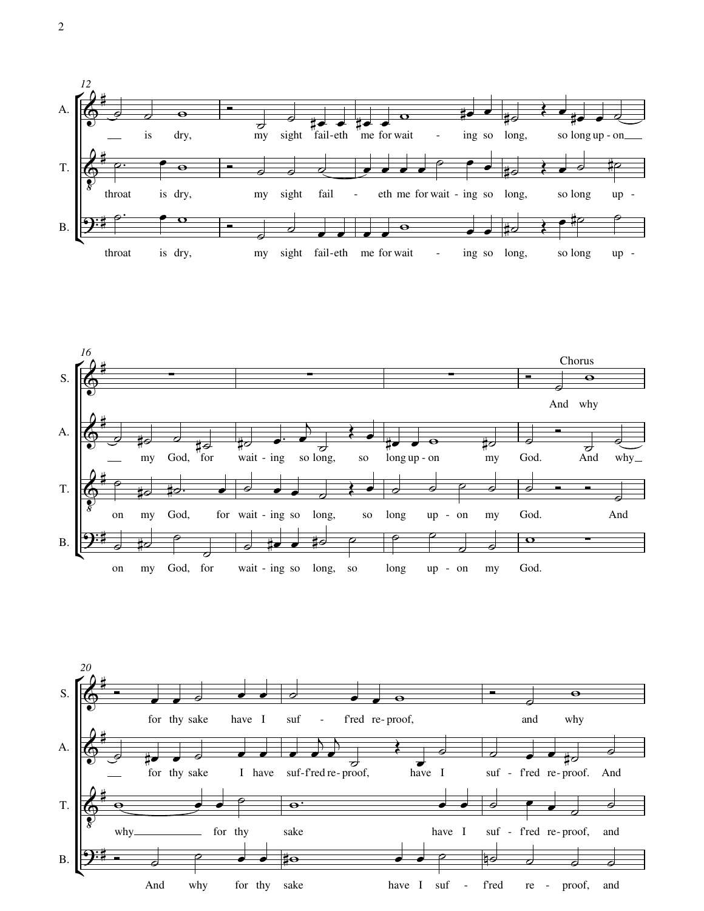



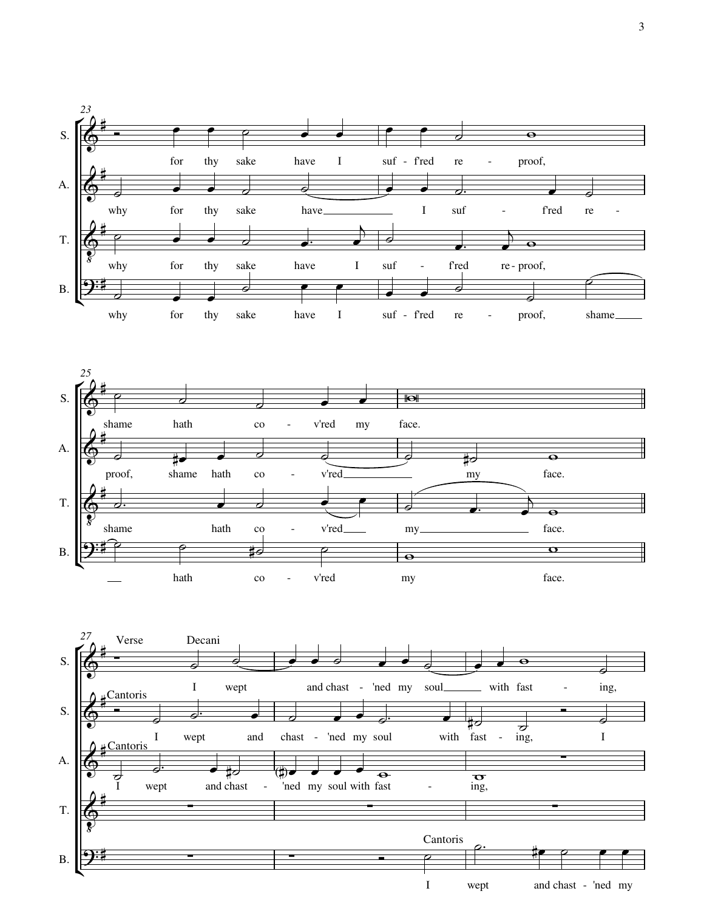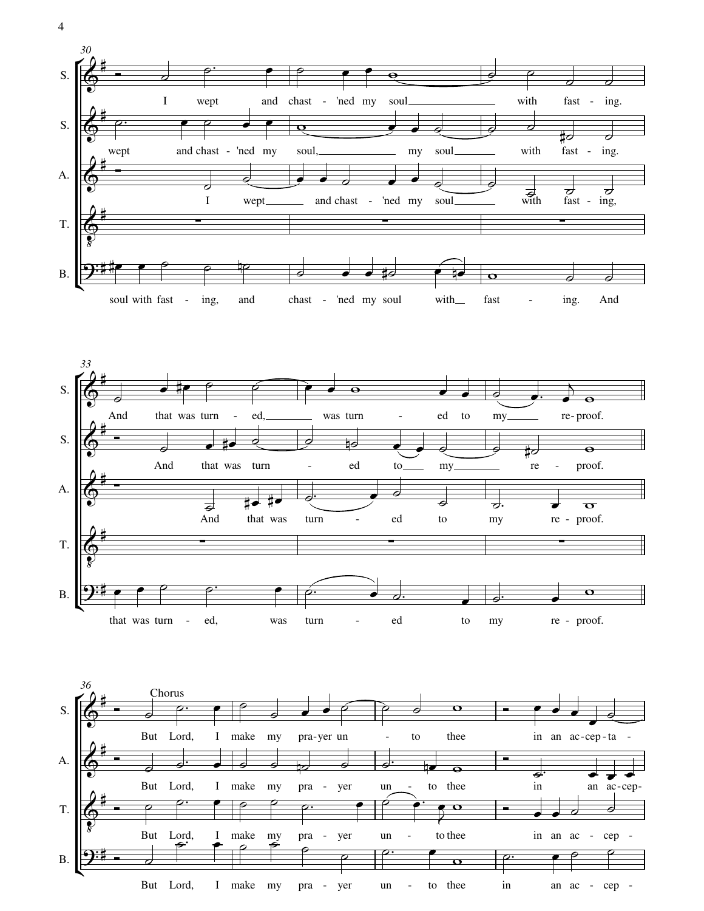





4